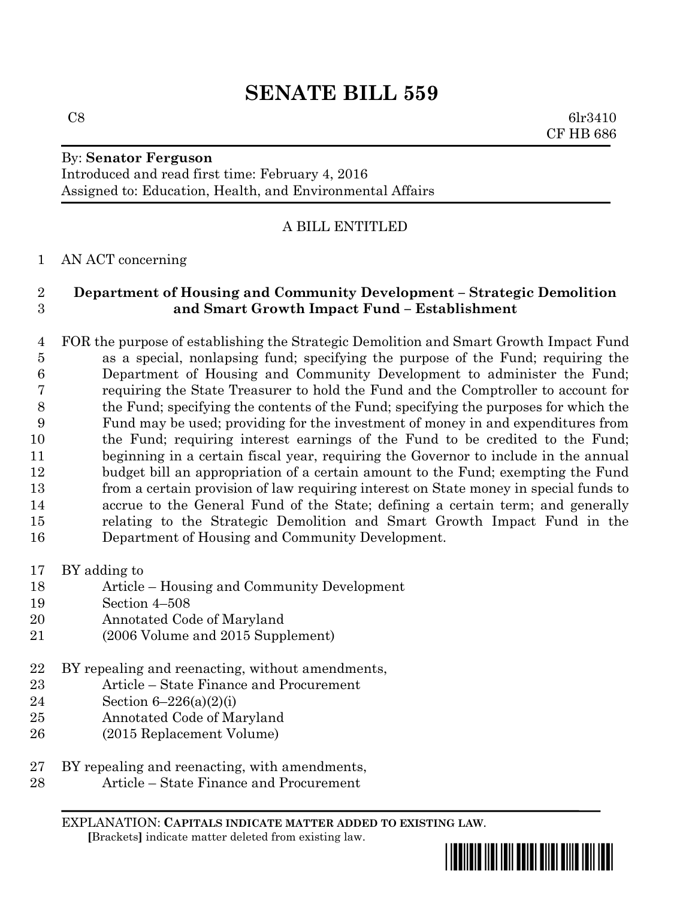# **SENATE BILL 559**

By: **Senator Ferguson**

Introduced and read first time: February 4, 2016 Assigned to: Education, Health, and Environmental Affairs

#### A BILL ENTITLED

#### AN ACT concerning

#### **Department of Housing and Community Development – Strategic Demolition and Smart Growth Impact Fund – Establishment**

 FOR the purpose of establishing the Strategic Demolition and Smart Growth Impact Fund as a special, nonlapsing fund; specifying the purpose of the Fund; requiring the Department of Housing and Community Development to administer the Fund; requiring the State Treasurer to hold the Fund and the Comptroller to account for the Fund; specifying the contents of the Fund; specifying the purposes for which the Fund may be used; providing for the investment of money in and expenditures from the Fund; requiring interest earnings of the Fund to be credited to the Fund; beginning in a certain fiscal year, requiring the Governor to include in the annual budget bill an appropriation of a certain amount to the Fund; exempting the Fund from a certain provision of law requiring interest on State money in special funds to accrue to the General Fund of the State; defining a certain term; and generally relating to the Strategic Demolition and Smart Growth Impact Fund in the Department of Housing and Community Development.

- BY adding to
- Article Housing and Community Development
- Section 4–508
- Annotated Code of Maryland
- (2006 Volume and 2015 Supplement)
- BY repealing and reenacting, without amendments,
- Article State Finance and Procurement
- Section 6–226(a)(2)(i)
- Annotated Code of Maryland
- (2015 Replacement Volume)
- BY repealing and reenacting, with amendments,
- Article State Finance and Procurement

EXPLANATION: **CAPITALS INDICATE MATTER ADDED TO EXISTING LAW**.  **[**Brackets**]** indicate matter deleted from existing law.



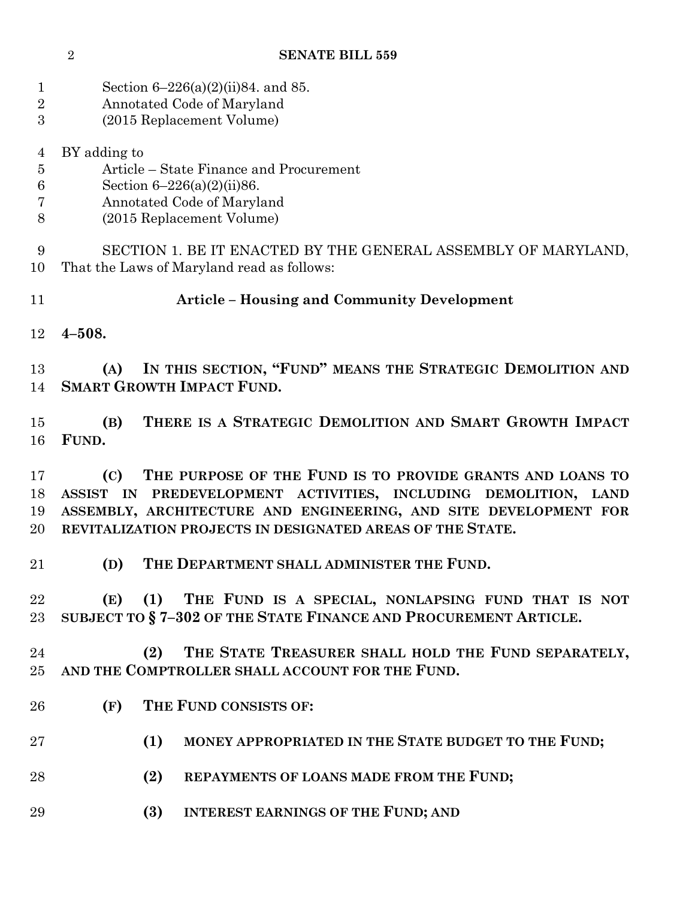| Section $6-226(a)(2)(ii)84$ . and 85. |
|---------------------------------------|
|                                       |

- Annotated Code of Maryland
- (2015 Replacement Volume)
- BY adding to
- Article State Finance and Procurement
- Section 6–226(a)(2)(ii)86.
- Annotated Code of Maryland
- (2015 Replacement Volume)

 SECTION 1. BE IT ENACTED BY THE GENERAL ASSEMBLY OF MARYLAND, That the Laws of Maryland read as follows:

- **Article – Housing and Community Development**
- **4–508.**

 **(A) IN THIS SECTION, "FUND" MEANS THE STRATEGIC DEMOLITION AND SMART GROWTH IMPACT FUND.**

 **(B) THERE IS A STRATEGIC DEMOLITION AND SMART GROWTH IMPACT FUND.**

 **(C) THE PURPOSE OF THE FUND IS TO PROVIDE GRANTS AND LOANS TO ASSIST IN PREDEVELOPMENT ACTIVITIES, INCLUDING DEMOLITION, LAND ASSEMBLY, ARCHITECTURE AND ENGINEERING, AND SITE DEVELOPMENT FOR REVITALIZATION PROJECTS IN DESIGNATED AREAS OF THE STATE.**

**(D) THE DEPARTMENT SHALL ADMINISTER THE FUND.**

 **(E) (1) THE FUND IS A SPECIAL, NONLAPSING FUND THAT IS NOT SUBJECT TO § 7–302 OF THE STATE FINANCE AND PROCUREMENT ARTICLE.**

 **(2) THE STATE TREASURER SHALL HOLD THE FUND SEPARATELY, AND THE COMPTROLLER SHALL ACCOUNT FOR THE FUND.**

- **(F) THE FUND CONSISTS OF:**
- **(1) MONEY APPROPRIATED IN THE STATE BUDGET TO THE FUND;**
- **(2) REPAYMENTS OF LOANS MADE FROM THE FUND;**
- **(3) INTEREST EARNINGS OF THE FUND; AND**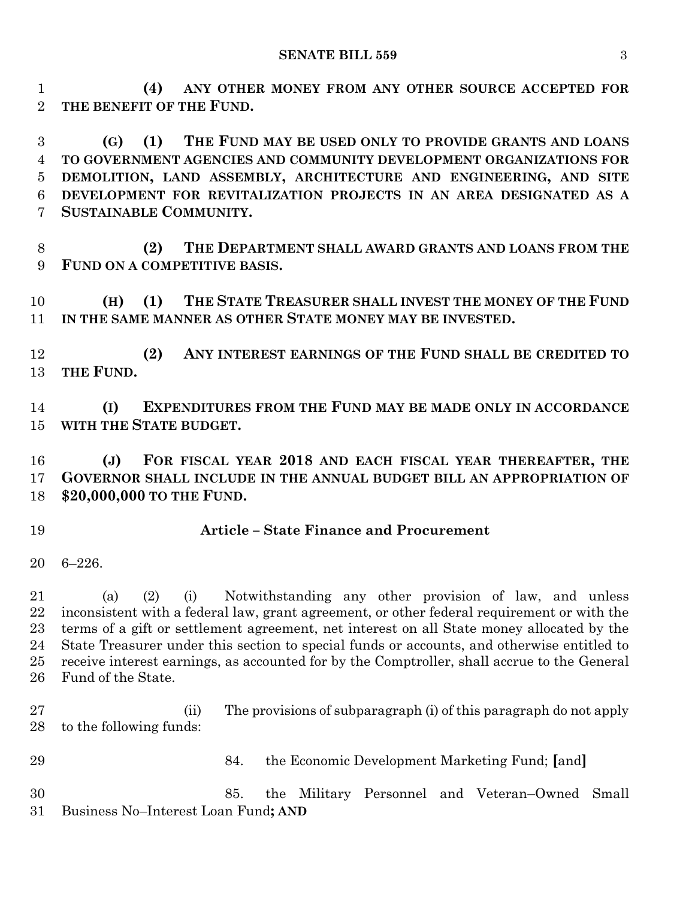**(4) ANY OTHER MONEY FROM ANY OTHER SOURCE ACCEPTED FOR THE BENEFIT OF THE FUND.**

 **(G) (1) THE FUND MAY BE USED ONLY TO PROVIDE GRANTS AND LOANS TO GOVERNMENT AGENCIES AND COMMUNITY DEVELOPMENT ORGANIZATIONS FOR DEMOLITION, LAND ASSEMBLY, ARCHITECTURE AND ENGINEERING, AND SITE DEVELOPMENT FOR REVITALIZATION PROJECTS IN AN AREA DESIGNATED AS A SUSTAINABLE COMMUNITY.**

 **(2) THE DEPARTMENT SHALL AWARD GRANTS AND LOANS FROM THE FUND ON A COMPETITIVE BASIS.**

 **(H) (1) THE STATE TREASURER SHALL INVEST THE MONEY OF THE FUND IN THE SAME MANNER AS OTHER STATE MONEY MAY BE INVESTED.**

 **(2) ANY INTEREST EARNINGS OF THE FUND SHALL BE CREDITED TO THE FUND.**

 **(I) EXPENDITURES FROM THE FUND MAY BE MADE ONLY IN ACCORDANCE WITH THE STATE BUDGET.**

 **(J) FOR FISCAL YEAR 2018 AND EACH FISCAL YEAR THEREAFTER, THE GOVERNOR SHALL INCLUDE IN THE ANNUAL BUDGET BILL AN APPROPRIATION OF \$20,000,000 TO THE FUND.**

#### **Article – State Finance and Procurement**

6–226.

 (a) (2) (i) Notwithstanding any other provision of law, and unless inconsistent with a federal law, grant agreement, or other federal requirement or with the terms of a gift or settlement agreement, net interest on all State money allocated by the State Treasurer under this section to special funds or accounts, and otherwise entitled to receive interest earnings, as accounted for by the Comptroller, shall accrue to the General Fund of the State.

 (ii) The provisions of subparagraph (i) of this paragraph do not apply to the following funds:

84. the Economic Development Marketing Fund; **[**and**]**

 85. the Military Personnel and Veteran–Owned Small Business No–Interest Loan Fund**; AND**